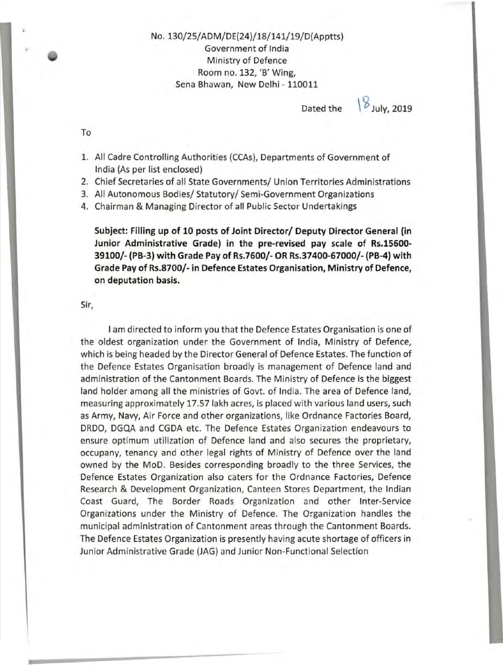No. 130/25/ ADM/DE(24}/18/141/19/D(Apptts} Government of India Ministry of Defence Room no. 132, 'B' Wing, Sena Bhawan, New Delhi- 110011

Dated the  $\frac{1}{2}$  July, 2019

To

- 1. All Cadre Controlling Authorities (CCAs), Departments of Government of India (As per list enclosed}
- 2. Chief Secretaries of all State Governments/ Union Territories Administrations
- 3. All Autonomous Bodies/ Statutory/ Semi-Government Organizations
- 4. Chairman & Managing Director of all Public Sector Undertakings

**Subject: Filling up of 10 posts of Joint Director/ Deputy Director General (in Junior Administrative Grade) in the pre-revised pay scale of Rs.15600- 39100/- (PB-3) with Grade Pay of Rs.7600/- OR Rs.37400-67000/- (PB-4) with Grade Pay of Rs.8700/- in Defence Estates Organisation, Ministry of Defence, on deputation basis.** 

Sir,

I am directed to inform you that the Defence Estates Organisation is one of the oldest organization under the Government of India, Ministry of Defence, which is being headed by the Director General of Defence Estates. The function of the Defence Estates Organisation broadly is management of Defence land and administration of the Cantonment Boards. The Ministry of Defence is the biggest land holder among all the ministries of Govt. of India. The area of Defence land, measuring approximately 17.57 lakh acres, is placed with various land users, such as Army, Navy, Air Force and other organizations, like Ordnance Factories Board, DRDO, DGQA and CGDA etc. The Defence Estates Organization endeavours to ensure optimum utilization of Defence land and also secures the proprietary, occupany, tenancy and other legal rights of Ministry of Defence over the land owned by the MoD. Besides corresponding broadly to the three Services, the Defence Estates Organization also caters for the Ordnance Factories, Defence Research & Development Organization, Canteen Stores Department, the Indian Coast Guard, The Border Roads Organization and other Inter-Service Organizations under the Ministry of Defence. The Organization handles the municipal administration of Cantonment areas through the Cantonment Boards. The Defence Estates Organization is presently having acute shortage of officers in Junior Administrative Grade (JAG} and Junior Non-Functional Selection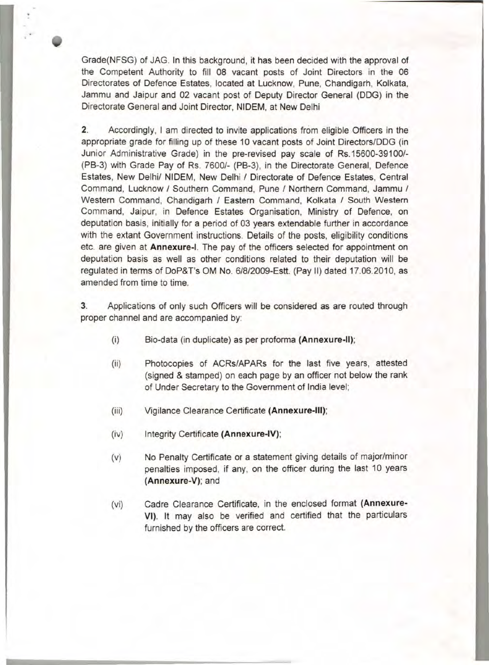Grade(NFSG) of JAG. In this background, it has been decided with the approval of the Competent Authority to fill 08 vacant posts of Joint Directors in the 06 Directorates of Defence Estates, located at Lucknow, Pune, Chandigarh, Kolkata, Jammu and Jaipur and 02 vacant post of Deputy Director General (DOG) in the Directorate General and Joint Director, NIDEM, at New Delhi

2. Accordingly, I am directed to invite applications from eligible Officers in the appropriate grade for filling up of these 10 vacant posts of Joint Directors/DOG (in Junior Administrative Grade) in the pre-revised pay scale of Rs.15600-39100/-(PB-3) with Grade Pay of Rs. 7600/- (PB-3), in the Directorate General, Defence Estates, New Delhi/ NIDEM, New Delhi / Directorate of Defence Estates, Central Command, Lucknow / Southern Command, Pune / Northern Command, Jammu / Western Command, Chandigarh / Eastern Command, Kolkata / South Western Command, Jaipur, in Defence Estates Organisation, Ministry of Defence, on deputation basis, initially for a period of 03 years extendable further in accordance with the extant Government instructions. Details of the posts, eligibility conditions etc. are given at **Annexure-1.** The pay of the officers selected for appointment on deputation basis as well as other conditions related to their deputation will be regulated in terms of DoP&T's OM No. 6/8/2009-Estt. (Pay II) dated 17.06.2010, as amended from time to time.

3. Applications of only such Officers will be considered as are routed through proper channel and are accompanied by:

- (i) Bio-data (in duplicate) as per proforma **(Annexure-11);**
- (ii) Photocopies of ACRs/APARs for the last five years, attested (signed & stamped) on each page by an officer not below the rank of Under Secretary to the Government of India level;
- (iii) Vigilance Clearance Certificate **(Annexure-Ill);**
- (iv) Integrity Certificate **(Annexure-IV);**
- (v) No Penalty Certificate or a statement giving details of major/minor penalties imposed, if any, on the officer during the last 10 years **(Annexure-V);** and
- (vi) Cadre Clearance Certificate, in the enclosed format **(Annexure-**VI). It may also be verified and certified that the particulars furnished by the officers are correct.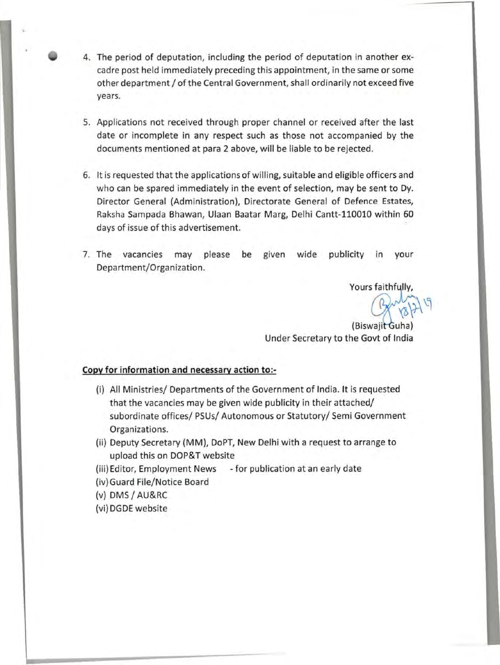- 4. The period of deputation, including the period of deputation in another excadre post held immediately preceding this appointment, in the same or some other department / of the Central Government, shall ordinarily not exceed five years.
- 5. Applications not received through proper channel or received after the last date or incomplete in any respect such as those not accompanied by the documents mentioned at para 2 above, will be liable to be rejected.
- 6. It is requested that the applications of willing, suitable and eligible officers and who can be spared immediately in the event of selection, may be sent to Dy. Director General (Administration), Directorate General of Defence Estates, Raksha Sampada Bhawan, Ulaan Baatar Marg, Delhi Cantt-110010 within 60 days of issue of this advertisement.
- 7. The vacancies may please be given wide publicity in your Department/Organization.

Yours faithfully,

(Biswajit Guha) Under Secretary to the Govt of India

# **Copy for information and necessary action to:-**

- (i) All Ministries/ Departments of the Government of India. It is requested that the vacancies may be given wide publicity in their attached/ subordinate offices/ PSUs/ Autonomous or Statutory/ Semi Government Organizations.
- (ii) Deputy Secretary (MM), DoPT, New Delhi with a request to arrange to upload this on DOP&T website
- (iii) Editor, Employment News -for publication at an early date
- (iv) Guard File/Notice Board
- (v) OMS/ AU&RC
- (vi) DGDE website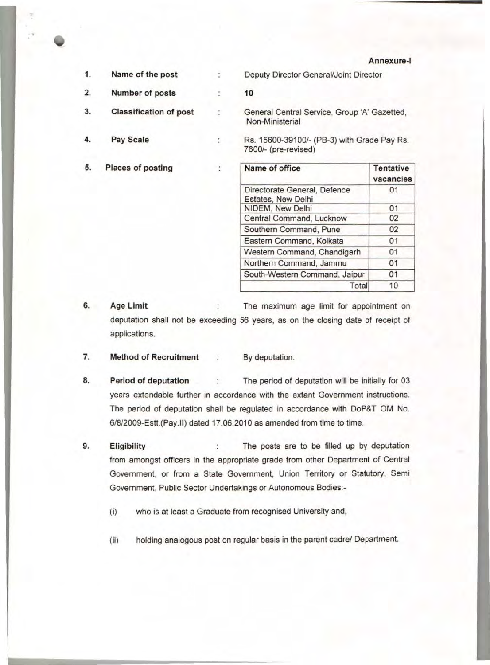**Annexure-!** 

Total 10

| 1. | Name of the post              |                | Deputy Director General/Joint Director                              |                               |  |  |
|----|-------------------------------|----------------|---------------------------------------------------------------------|-------------------------------|--|--|
| 2. | Number of posts               |                | 10                                                                  |                               |  |  |
| 3. | <b>Classification of post</b> |                | General Central Service, Group 'A' Gazetted,<br>Non-Ministerial     |                               |  |  |
| 4. | Pay Scale                     |                | Rs. 15600-39100/- (PB-3) with Grade Pay Rs.<br>7600/- (pre-revised) |                               |  |  |
| 5. | <b>Places of posting</b>      | $\ddot{\cdot}$ | Name of office                                                      | <b>Tentative</b><br>vacancies |  |  |
|    |                               |                | Directorate General, Defence<br>Estates, New Delhi                  | 01                            |  |  |
|    |                               |                | NIDEM, New Delhi                                                    | 01                            |  |  |

Central Command, Lucknow 02 Southern Command, Pune 02 Eastern Command, Kolkata 01 Western Command, Chandigarh 01 Northern Command, Jammu 01 South-Western Command, Jaipur 01

**6. Age Limit**  The maximum age limit for appointment on deputation shall not be exceeding 56 years, as on the closing date of receipt of applications.

- **7. Method of Recruitment : By deputation.**
- **8. Period of deputation : The period of deputation will be initially for 03** years extendable further in accordance with the extant Government instructions. The period of deputation shall be regulated in accordance with DoP&T OM No. 6/8/2009-Estt.(Pay.ll) dated 17.06.2010 as amended from time to time.
- **9. Eligibility The posts are to be filled up by deputation** from amongst officers in the appropriate grade from other Department of Central Government, or from a State Government, Union Territory or Statutory, Semi Government, Public Sector Undertakings or Autonomous Bodies:-
	- (i) who is at least a Graduate from recognised University and,
	- (ii) holding analogous post on regular basis in the parent cadre/ Department.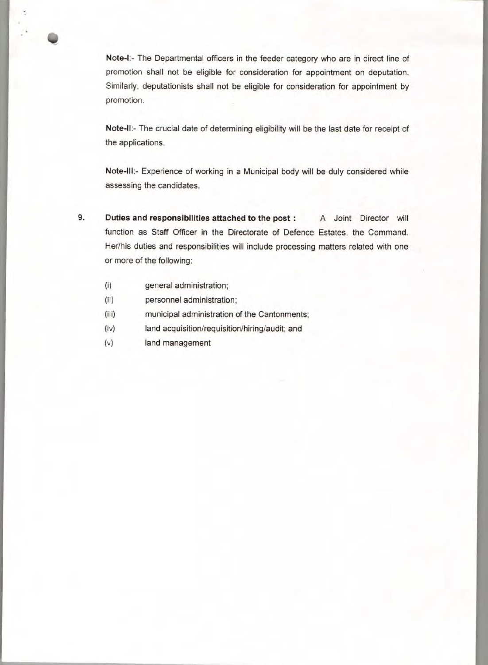**Note-1:-** The Departmental officers in the feeder category who are in direct line of promotion shall not be eligible for consideration for appointment on deputation. Similarly, deputationists shall not be eligible for consideration for appointment by promotion.

**Note-11:-** The crucial date of determining eligibility will be the last date for receipt of the applications.

**Note-Ill:-** Experience of working in a Municipal body will be duly considered while assessing the candidates.

**9. Duties and responsibilities attached to the post** : A Joint Director will function as Staff Officer in the Directorate of Defence Estates, the Command. Her/his duties and responsibilities will include processing matters related with one or more of the following:

- (i) general administration;
- (ii) personnel administration;
- (iii) municipal administration of the Cantonments;
- (iv) land acquisition/requisition/hiring/audit; and
- (v) land management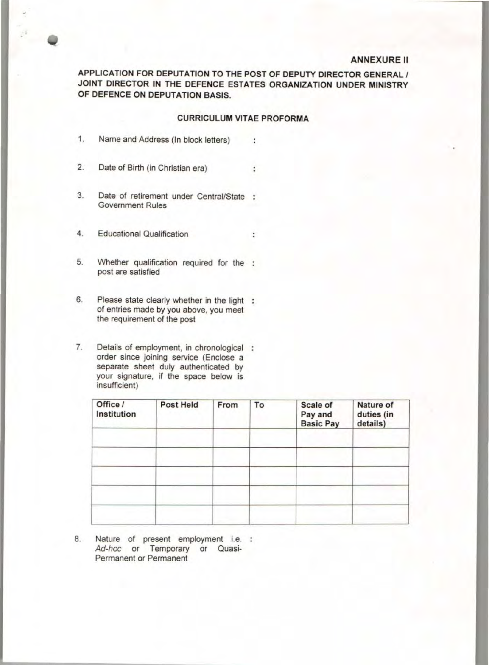#### ANNEXURE II

APPLICATION FOR DEPUTATION TO THE POST OF DEPUTY DIRECTOR GENERAL / JOINT DIRECTOR IN THE DEFENCE ESTATES ORGANIZATION UNDER MINISTRY OF DEFENCE ON DEPUTATION BASIS.

## CURRICULUM VITAE PROFORMA

 $\ddot{\phantom{a}}$ 

÷

- 1. Name and Address (In block letters)
- 2. Date of Birth (in Christian era)
- 3. Date of retirement under Central/State Government Rules
- 4. Educational Qualification
- 5. Whether qualification required for the post are satisfied
- 6. Please state clearly whether in the light : of entries made by you above, you meet the requirement of the post
- 7. Details of employment, in chronological : order since joining service (Enclose a separate sheet duly authenticated by your signature, if the space below is insufficient)

| Office /<br>Institution | <b>Post Held</b> | From | To | Scale of<br>Pay and<br><b>Basic Pay</b> | <b>Nature of</b><br>duties (in<br>details) |
|-------------------------|------------------|------|----|-----------------------------------------|--------------------------------------------|
|                         |                  |      |    |                                         |                                            |
|                         |                  |      |    |                                         |                                            |
|                         |                  |      |    |                                         |                                            |

8. Nature of present employment i.e. : Ad-hoc or Temporary or Quasi-Permanent or Permanent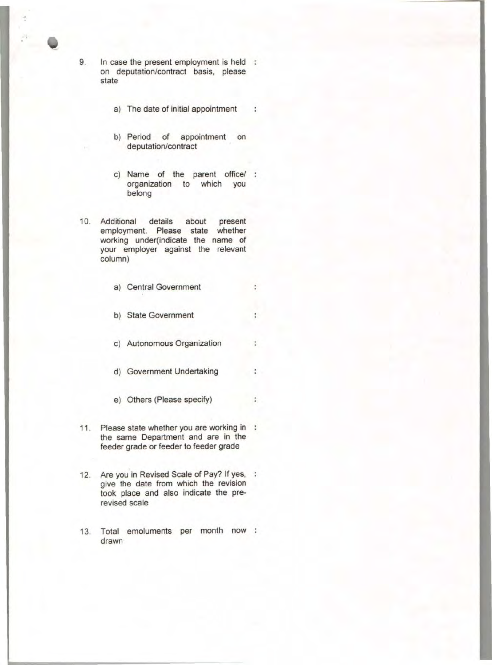9. In case the present employment is held on deputation/contract basis, please state

- a) The date of initial appointment  $\cdot$  :
- b) Period of appointment on deputation/contract
- c) Name of the parent office/ : organization to which you belong
- 10. Additional details about present employment. Please state whether working under(indicate the name of your employer against the relevant column)
	- a) Central Government

 $\ddot{\cdot}$ 

٠

÷

 $\ddot{z}$ 

÷

- b) State Government
- c) Autonomous Organization
- d) Government Undertaking
- e) Others (Please specify)
- 11. Please state whether you are working in : the same Department and are in the feeder grade or feeder to feeder grade
- 12. Are you in Revised Scale of Pay? If yes, : give the date from which the revision took place and also indicate the prerevised scale
- 13. Total emoluments per month now drawn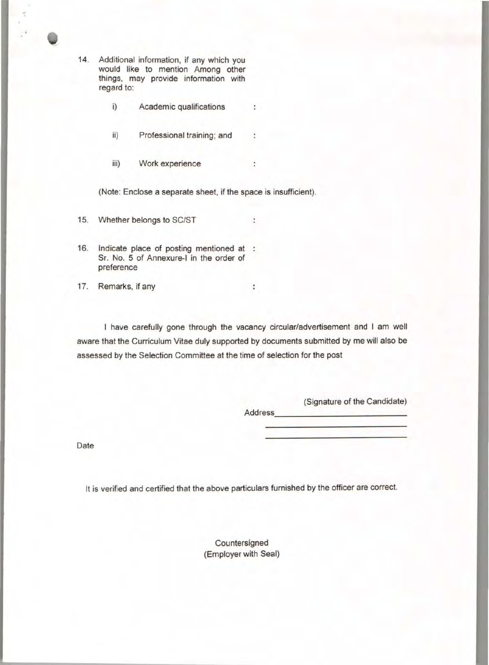14. Additional information, if any which you would like to mention Among other things, may provide information with regard to:

- i) Academic qualifications ÷
- ii) Professional training; and ÷
- iii) Work experience  $\ddot{\phantom{0}}$

(Note: Enclose a separate sheet, if the space is insufficient).

- 15. Whether belongs to SC/ST
- 16. Indicate place of posting mentioned at Sr. No. 5 of Annexure-I in the order of preference
- 17. Remarks, if any

I have carefully gone through the vacancy circular/advertisement and I am well aware that the Curriculum Vitae duly supported by documents submitted by me will also be assessed by the Selection Committee at the time of selection for the post

t

 $\ddot{\phantom{a}}$ 

(Signature of the Candidate) Address. \_\_\_\_\_\_\_\_\_\_\_\_ \_

Date

It is verified and certified that the above particulars furnished by the officer are correct.

Countersigned (Employer with Seal)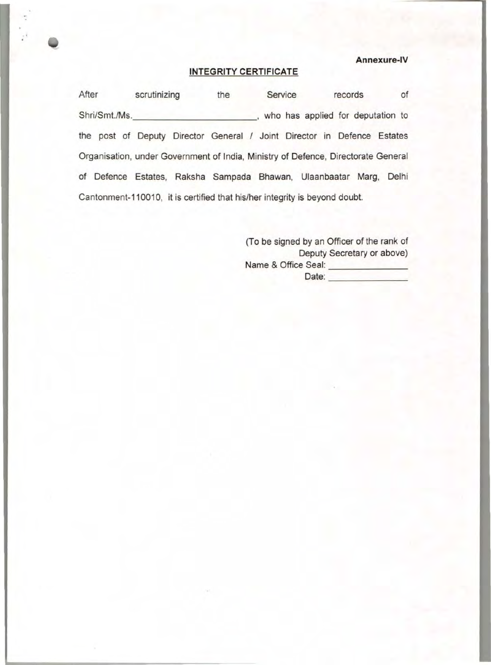**Annexure-IV** 

### **INTEGRITY CERTIFICATE**

After scrutinizing the Service records of Shri/Smt./Ms. \_\_\_\_\_\_\_\_\_\_\_\_\_\_\_\_\_\_\_\_\_\_\_\_\_\_\_\_\_\_\_\_, who has applied for deputation to the post of Deputy Director General / Joint Director in Defence Estates Organisation, under Government of India, Ministry of Defence, Directorate General of Defence Estates, Raksha Sampada Bhawan, Ulaanbaatar Marg, Delhi Cantonment-11 0010, it is certified that his/her integrity is beyond doubt.

> (To be signed by an Officer of the rank of Deputy Secretary or above) Name & Office Seal: \_\_\_\_\_\_\_\_\_ Date: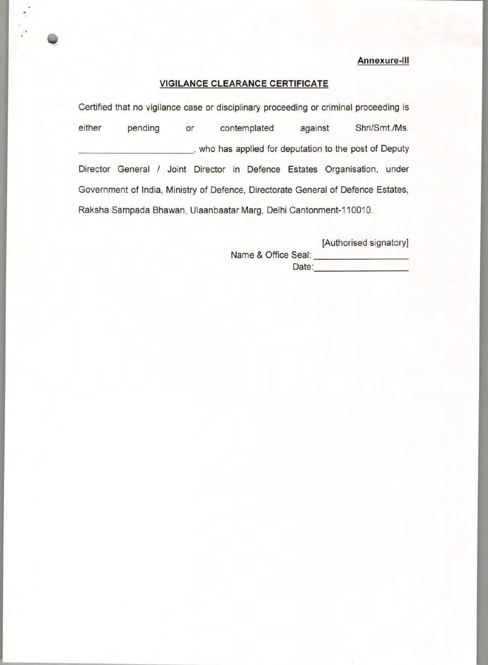### **Annexure-Ill**

### **VIGILANCE CLEARANCE CERTIFICATE**

Certified that no vigilance case or disciplinary proceeding or criminal proceeding is either pending or contemplated against Shri/Smt./Ms. \_\_\_\_\_\_\_\_\_\_ , who has applied for deputation to the post of Deputy Director General / Joint Director in Defence Estates Organisation, under Government of India, Ministry of Defence, Directorate General of Defence Estates, Raksha Sampada Bhawan, Ulaanbaatar Marg, Delhi Cantonment-110010.

[Authorised signatory]

Name & Office Seal: Date: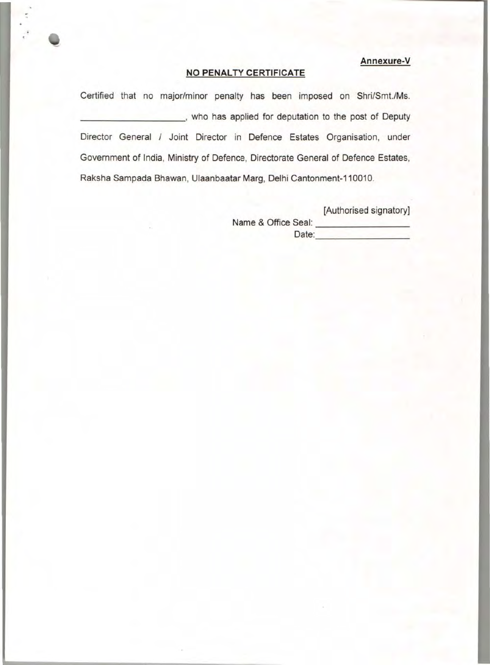# **Annexure-V**

# **NO PENALTY CERTIFICATE**

Certified that no major/minor penalty has been imposed on Shri/Smt./Ms. \_\_\_\_\_\_\_\_\_ , who has applied for deputation to the post of Deputy Director General / Joint Director in Defence Estates Organisation, under Government of India, Ministry of Defence, Directorate General of Defence Estates, Raksha Sampada Bhawan, Ulaanbaatar Marg, Delhi Cantonment-110010.

> [Authorised signatory] Name & Office Seal: Date: